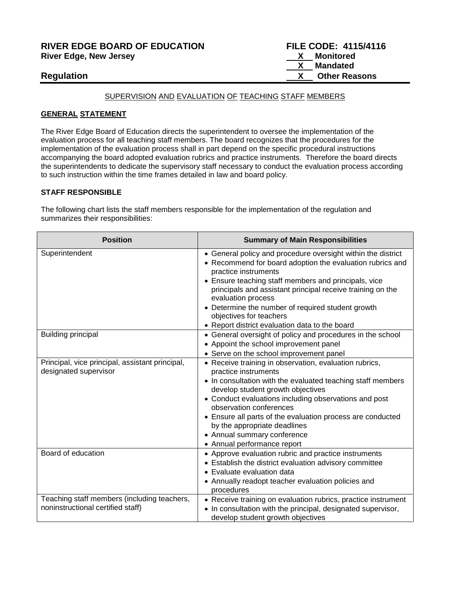# **RIVER EDGE BOARD OF EDUCATION FILE CODE: 4115/4116 River Edge, New Jersey**

# SUPERVISION AND EVALUATION OF TEACHING STAFF MEMBERS

#### **GENERAL STATEMENT**

The River Edge Board of Education directs the superintendent to oversee the implementation of the evaluation process for all teaching staff members. The board recognizes that the procedures for the implementation of the evaluation process shall in part depend on the specific procedural instructions accompanying the board adopted evaluation rubrics and practice instruments. Therefore the board directs the superintendents to dedicate the supervisory staff necessary to conduct the evaluation process according to such instruction within the time frames detailed in law and board policy.

### **STAFF RESPONSIBLE**

The following chart lists the staff members responsible for the implementation of the regulation and summarizes their responsibilities:

| <b>Position</b>                                                                  | <b>Summary of Main Responsibilities</b>                                                                                                                                                                                                                                                                                                                                                                                            |
|----------------------------------------------------------------------------------|------------------------------------------------------------------------------------------------------------------------------------------------------------------------------------------------------------------------------------------------------------------------------------------------------------------------------------------------------------------------------------------------------------------------------------|
| Superintendent                                                                   | • General policy and procedure oversight within the district<br>• Recommend for board adoption the evaluation rubrics and<br>practice instruments<br>• Ensure teaching staff members and principals, vice<br>principals and assistant principal receive training on the<br>evaluation process<br>• Determine the number of required student growth<br>objectives for teachers<br>• Report district evaluation data to the board    |
| <b>Building principal</b>                                                        | • General oversight of policy and procedures in the school<br>• Appoint the school improvement panel<br>• Serve on the school improvement panel                                                                                                                                                                                                                                                                                    |
| Principal, vice principal, assistant principal,<br>designated supervisor         | • Receive training in observation, evaluation rubrics,<br>practice instruments<br>• In consultation with the evaluated teaching staff members<br>develop student growth objectives<br>• Conduct evaluations including observations and post<br>observation conferences<br>• Ensure all parts of the evaluation process are conducted<br>by the appropriate deadlines<br>• Annual summary conference<br>• Annual performance report |
| Board of education                                                               | • Approve evaluation rubric and practice instruments<br>• Establish the district evaluation advisory committee<br>• Evaluate evaluation data<br>• Annually readopt teacher evaluation policies and<br>procedures                                                                                                                                                                                                                   |
| Teaching staff members (including teachers,<br>noninstructional certified staff) | • Receive training on evaluation rubrics, practice instrument<br>• In consultation with the principal, designated supervisor,<br>develop student growth objectives                                                                                                                                                                                                                                                                 |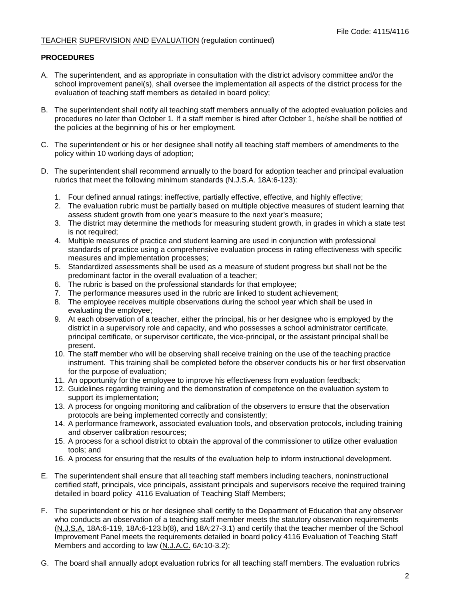### **PROCEDURES**

- A. The superintendent, and as appropriate in consultation with the district advisory committee and/or the school improvement panel(s), shall oversee the implementation all aspects of the district process for the evaluation of teaching staff members as detailed in board policy;
- B. The superintendent shall notify all teaching staff members annually of the adopted evaluation policies and procedures no later than October 1. If a staff member is hired after October 1, he/she shall be notified of the policies at the beginning of his or her employment.
- C. The superintendent or his or her designee shall notify all teaching staff members of amendments to the policy within 10 working days of adoption;
- D. The superintendent shall recommend annually to the board for adoption teacher and principal evaluation rubrics that meet the following minimum standards (N.J.S.A. 18A:6-123):
	- 1. Four defined annual ratings: ineffective, partially effective, effective, and highly effective;
	- 2. The evaluation rubric must be partially based on multiple objective measures of student learning that assess student growth from one year's measure to the next year's measure;
	- 3. The district may determine the methods for measuring student growth, in grades in which a state test is not required;
	- 4. Multiple measures of practice and student learning are used in conjunction with professional standards of practice using a comprehensive evaluation process in rating effectiveness with specific measures and implementation processes;
	- 5. Standardized assessments shall be used as a measure of student progress but shall not be the predominant factor in the overall evaluation of a teacher;
	- 6. The rubric is based on the professional standards for that employee;
	- 7. The performance measures used in the rubric are linked to student achievement;
	- 8. The employee receives multiple observations during the school year which shall be used in evaluating the employee;
	- 9. At each observation of a teacher, either the principal, his or her designee who is employed by the district in a supervisory role and capacity, and who possesses a school administrator certificate, principal certificate, or supervisor certificate, the vice-principal, or the assistant principal shall be present.
	- 10. The staff member who will be observing shall receive training on the use of the teaching practice instrument. This training shall be completed before the observer conducts his or her first observation for the purpose of evaluation;
	- 11. An opportunity for the employee to improve his effectiveness from evaluation feedback;
	- 12. Guidelines regarding training and the demonstration of competence on the evaluation system to support its implementation;
	- 13. A process for ongoing monitoring and calibration of the observers to ensure that the observation protocols are being implemented correctly and consistently;
	- 14. A performance framework, associated evaluation tools, and observation protocols, including training and observer calibration resources;
	- 15. A process for a school district to obtain the approval of the commissioner to utilize other evaluation tools; and
	- 16. A process for ensuring that the results of the evaluation help to inform instructional development.
- E. The superintendent shall ensure that all teaching staff members including teachers, noninstructional certified staff, principals, vice principals, assistant principals and supervisors receive the required training detailed in board policy 4116 Evaluation of Teaching Staff Members;
- F. The superintendent or his or her designee shall certify to the Department of Education that any observer who conducts an observation of a teaching staff member meets the statutory observation requirements (N.J.S.A. 18A:6-119, 18A:6-123.b(8), and 18A:27-3.1) and certify that the teacher member of the School Improvement Panel meets the requirements detailed in board policy 4116 Evaluation of Teaching Staff Members and according to law (N.J.A.C. 6A:10-3.2);
- G. The board shall annually adopt evaluation rubrics for all teaching staff members. The evaluation rubrics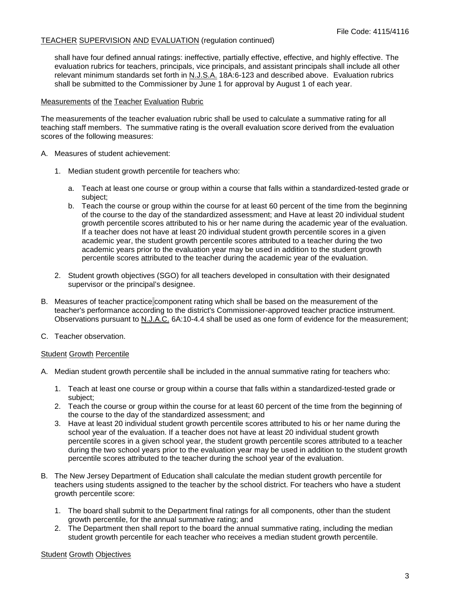shall have four defined annual ratings: ineffective, partially effective, effective, and highly effective. The evaluation rubrics for teachers, principals, vice principals, and assistant principals shall include all other relevant minimum standards set forth in N.J.S.A. 18A:6-123 and described above. Evaluation rubrics shall be submitted to the Commissioner by June 1 for approval by August 1 of each year.

#### Measurements of the Teacher Evaluation Rubric

The measurements of the teacher evaluation rubric shall be used to calculate a summative rating for all teaching staff members. The summative rating is the overall evaluation score derived from the evaluation scores of the following measures:

- A. Measures of student achievement:
	- 1. Median student growth percentile for teachers who:
		- a. Teach at least one course or group within a course that falls within a standardized-tested grade or subject;
		- b. Teach the course or group within the course for at least 60 percent of the time from the beginning of the course to the day of the standardized assessment; and Have at least 20 individual student growth percentile scores attributed to his or her name during the academic year of the evaluation. If a teacher does not have at least 20 individual student growth percentile scores in a given academic year, the student growth percentile scores attributed to a teacher during the two academic years prior to the evaluation year may be used in addition to the student growth percentile scores attributed to the teacher during the academic year of the evaluation.
	- 2. Student growth objectives (SGO) for all teachers developed in consultation with their designated supervisor or the principal's designee.
- B. Measures of teacher practice component rating which shall be based on the measurement of the teacher's performance according to the district's Commissioner-approved teacher practice instrument. Observations pursuant to N.J.A.C. 6A:10-4.4 shall be used as one form of evidence for the measurement;
- C. Teacher observation.

### Student Growth Percentile

- A. Median student growth percentile shall be included in the annual summative rating for teachers who:
	- 1. Teach at least one course or group within a course that falls within a standardized-tested grade or subject;
	- 2. Teach the course or group within the course for at least 60 percent of the time from the beginning of the course to the day of the standardized assessment; and
	- 3. Have at least 20 individual student growth percentile scores attributed to his or her name during the school year of the evaluation. If a teacher does not have at least 20 individual student growth percentile scores in a given school year, the student growth percentile scores attributed to a teacher during the two school years prior to the evaluation year may be used in addition to the student growth percentile scores attributed to the teacher during the school year of the evaluation.
- B. The New Jersey Department of Education shall calculate the median student growth percentile for teachers using students assigned to the teacher by the school district. For teachers who have a student growth percentile score:
	- 1. The board shall submit to the Department final ratings for all components, other than the student growth percentile, for the annual summative rating; and
	- 2. The Department then shall report to the board the annual summative rating, including the median student growth percentile for each teacher who receives a median student growth percentile.

### **Student Growth Objectives**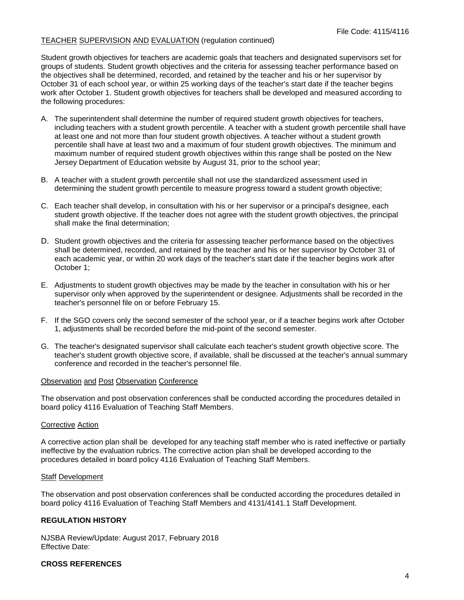Student growth objectives for teachers are academic goals that teachers and designated supervisors set for groups of students. Student growth objectives and the criteria for assessing teacher performance based on the objectives shall be determined, recorded, and retained by the teacher and his or her supervisor by October 31 of each school year, or within 25 working days of the teacher's start date if the teacher begins work after October 1. Student growth objectives for teachers shall be developed and measured according to the following procedures:

- A. The superintendent shall determine the number of required student growth objectives for teachers, including teachers with a student growth percentile. A teacher with a student growth percentile shall have at least one and not more than four student growth objectives. A teacher without a student growth percentile shall have at least two and a maximum of four student growth objectives. The minimum and maximum number of required student growth objectives within this range shall be posted on the New Jersey Department of Education website by August 31, prior to the school year;
- B. A teacher with a student growth percentile shall not use the standardized assessment used in determining the student growth percentile to measure progress toward a student growth objective;
- C. Each teacher shall develop, in consultation with his or her supervisor or a principal's designee, each student growth objective. If the teacher does not agree with the student growth objectives, the principal shall make the final determination;
- D. Student growth objectives and the criteria for assessing teacher performance based on the objectives shall be determined, recorded, and retained by the teacher and his or her supervisor by October 31 of each academic year, or within 20 work days of the teacher's start date if the teacher begins work after October 1;
- E. Adjustments to student growth objectives may be made by the teacher in consultation with his or her supervisor only when approved by the superintendent or designee. Adjustments shall be recorded in the teacher's personnel file on or before February 15.
- F. If the SGO covers only the second semester of the school year, or if a teacher begins work after October 1, adjustments shall be recorded before the mid-point of the second semester.
- G. The teacher's designated supervisor shall calculate each teacher's student growth objective score. The teacher's student growth objective score, if available, shall be discussed at the teacher's annual summary conference and recorded in the teacher's personnel file.

### Observation and Post Observation Conference

The observation and post observation conferences shall be conducted according the procedures detailed in board policy 4116 Evaluation of Teaching Staff Members.

#### Corrective Action

A corrective action plan shall be developed for any teaching staff member who is rated ineffective or partially ineffective by the evaluation rubrics. The corrective action plan shall be developed according to the procedures detailed in board policy 4116 Evaluation of Teaching Staff Members.

#### Staff Development

The observation and post observation conferences shall be conducted according the procedures detailed in board policy 4116 Evaluation of Teaching Staff Members and 4131/4141.1 Staff Development.

# **REGULATION HISTORY**

NJSBA Review/Update: August 2017, February 2018 Effective Date:

#### **CROSS REFERENCES**